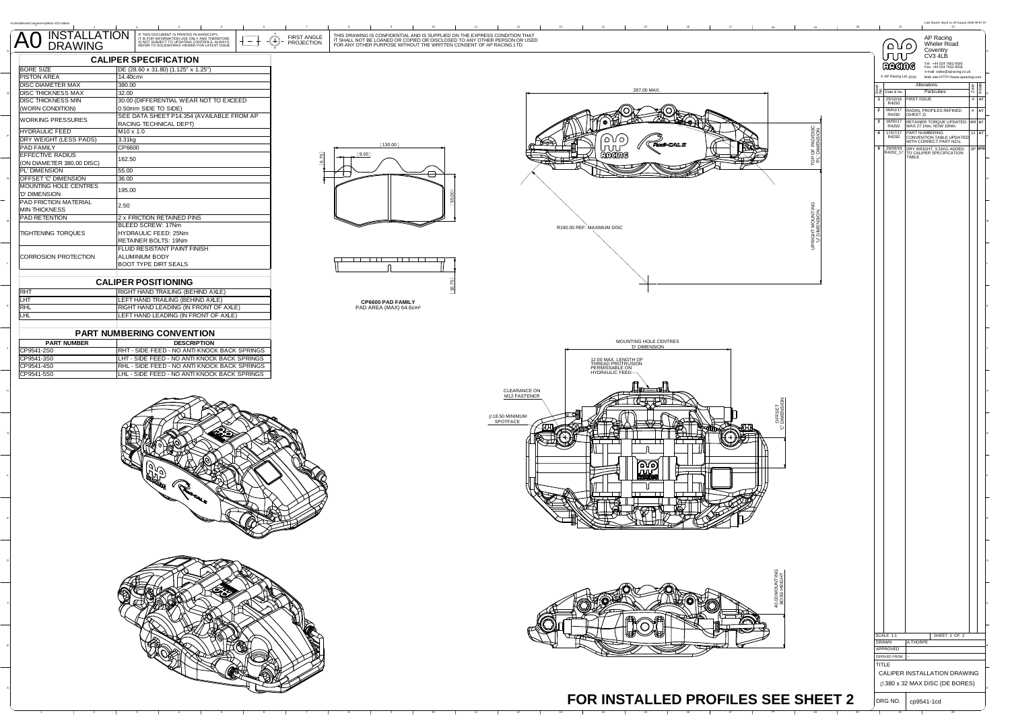|                                                        |                                                                                                                                                                                                                                                                  |                                                                                                                                                                                                                                | Last Saved: sbyrd on 29 August 2018 09:57:2                                                |
|--------------------------------------------------------|------------------------------------------------------------------------------------------------------------------------------------------------------------------------------------------------------------------------------------------------------------------|--------------------------------------------------------------------------------------------------------------------------------------------------------------------------------------------------------------------------------|--------------------------------------------------------------------------------------------|
| $\overline{\mathsf{A0}}$                               | INSTALLATION FINS DOCUMENT IS PRINTED IN HARDCOPY.<br>DRAWING FINE ROOM IN THE SOCIUMENT OF ONE CONTROLS ANIWAYS<br>DRAWING FEFER TO SOLDWORKS VIEWER FOR LATEST ISSUE<br>FIRST ANGLE<br>$\hspace{.1cm} \oplus$<br>$\overline{\phantom{a}}$<br><b>PROJECTION</b> | THIS DRAWING IS CONFIDENTIAL AND IS SUPPLIED ON THE EXPRESS CONDITION THAT<br>IT SHALL NOT BE LOANED OR COPIED OR DISCLOSED TO ANY OTHER PERSON OR USED<br>FOR ANY OTHER PURPOSE WITHOUT THE WRITTEN CONSENT OF AP RACING LTD. | AP Racing<br>Wheler Road<br>`۱۵) (۵                                                        |
|                                                        |                                                                                                                                                                                                                                                                  |                                                                                                                                                                                                                                | Coventry<br>ՄՄՄ<br>CV3 4LB                                                                 |
| <b>BORE SIZE</b>                                       | <b>CALIPER SPECIFICATION</b><br>DE (28.60 x 31.80) (1.125" x 1.25")                                                                                                                                                                                              |                                                                                                                                                                                                                                | Tel: +44 024 7663 9595<br>Fax: +44 024 7663 9559<br>RAGING                                 |
| <b>PISTON AREA</b>                                     | 14.40cm <sup>2</sup>                                                                                                                                                                                                                                             |                                                                                                                                                                                                                                | e-mail: sales@apracing.co.uk<br>C AP Racing Ltd. 2016<br>Web site: HTTP://www.apracing.con |
| <b>DISC DIAMETER MAX</b>                               | 380.00                                                                                                                                                                                                                                                           | 287.00 MAX                                                                                                                                                                                                                     | Alterations<br>Particulars<br>22 Date & No.                                                |
| <b>DISC THICKNESS MAX</b><br><b>DISC THICKNESS MIN</b> | 32.00<br>30.00 (DIFFERENTIAL WEAR NOT TO EXCEED                                                                                                                                                                                                                  |                                                                                                                                                                                                                                | 1 25/10/16 FIRST ISSUE<br>R4292<br># A1                                                    |
| (WORN CONDITION)                                       | .50mm SIDE TO SIDE)                                                                                                                                                                                                                                              |                                                                                                                                                                                                                                | 2 06/01/17 RADIAL PROFILES REFINED<br>R4292 (SHEET 2)<br>$#$ AT                            |
| WORKING PRESSURES                                      | SEE DATA SHEET P14.354 (AVAILABLE FROM AP<br>RACING TECHNICAL DEPT)                                                                                                                                                                                              |                                                                                                                                                                                                                                | 3 18/05/17 RETAINER TORQUE UPDATED. 4M AT R4292 WAS 27.1Nm, NOW 19Nm                       |
| <b>HYDRAULIC FEED</b>                                  | $M10 \times 1.0$                                                                                                                                                                                                                                                 |                                                                                                                                                                                                                                | $4$ 17/07/17                                                                               |
| DRY WEIGHT (LESS PADS)<br>PAD FAMILY                   | 3.31kg<br>CP6600                                                                                                                                                                                                                                                 | OF PAD/DISC<br>(130.00)                                                                                                                                                                                                        | PART NUMBERING<br>CONVENTION TABLE UPDATED<br>WITH CORRECT PART NO's.                      |
| <b>EFFECTIVE RADIUS</b>                                | 162.50                                                                                                                                                                                                                                                           | (9.00)<br>and mo                                                                                                                                                                                                               | 5 29/08/18 DRY WEIGHT, 3.31KG ADDED<br>R4292_17 TO CALIPER SPECIFICATION<br>TABLE          |
| (ON DIAMETER 380.00 DISC)                              |                                                                                                                                                                                                                                                                  | 한                                                                                                                                                                                                                              |                                                                                            |
| PL' DIMENSION<br>OFFSET 'C' DIMENSION                  | 55.00<br>36.00                                                                                                                                                                                                                                                   | ⊖                                                                                                                                                                                                                              |                                                                                            |
| MOUNTING HOLE CENTRES                                  | 195.00                                                                                                                                                                                                                                                           |                                                                                                                                                                                                                                |                                                                                            |
| 'D' DIMENSION<br>PAD FRICTION MATERIAL                 |                                                                                                                                                                                                                                                                  |                                                                                                                                                                                                                                |                                                                                            |
| <b>MIN THICKNESS</b>                                   | 2.50                                                                                                                                                                                                                                                             |                                                                                                                                                                                                                                |                                                                                            |
| PAD RETENTION                                          | 2 x FRICTION RETAINED PINS                                                                                                                                                                                                                                       |                                                                                                                                                                                                                                |                                                                                            |
| TIGHTENING TORQUES                                     | BLEED SCREW: 17Nm<br>HYDRAULIC FEED: 25Nm                                                                                                                                                                                                                        | UPRIGHT MOUNTIN<br>U'DIMENSION<br>R190.00 REF. MAXIMUM DISC                                                                                                                                                                    |                                                                                            |
|                                                        | RETAINER BOLTS: 19Nm                                                                                                                                                                                                                                             |                                                                                                                                                                                                                                |                                                                                            |
| <b>CORROSION PROTECTION</b>                            | FLUID RESISTANT PAINT FINISH<br>ALUMINIUM BODY                                                                                                                                                                                                                   |                                                                                                                                                                                                                                |                                                                                            |
|                                                        | BOOT TYPE DIRT SEALS                                                                                                                                                                                                                                             | ───────                                                                                                                                                                                                                        |                                                                                            |
|                                                        |                                                                                                                                                                                                                                                                  |                                                                                                                                                                                                                                |                                                                                            |
|                                                        | <b>CALIPER POSITIONING</b><br>RIGHT HAND TRAILING (BEHIND AXLE)                                                                                                                                                                                                  | ä,                                                                                                                                                                                                                             |                                                                                            |
| RHT<br>LHT                                             | LEFT HAND TRAILING (BEHIND AXLE)                                                                                                                                                                                                                                 | CP6600 PAD FAMILY                                                                                                                                                                                                              |                                                                                            |
| RHL                                                    | RIGHT HAND LEADING (IN FRONT OF AXLE)                                                                                                                                                                                                                            | PAD AREA (MAX) 64.6cm <sup>2</sup>                                                                                                                                                                                             |                                                                                            |
| <b>LHL</b>                                             | LEFT HAND LEADING (IN FRONT OF AXLE)                                                                                                                                                                                                                             |                                                                                                                                                                                                                                |                                                                                            |
| <b>PART NUMBERING CONVENTION</b>                       |                                                                                                                                                                                                                                                                  |                                                                                                                                                                                                                                |                                                                                            |
| <b>PART NUMBER</b>                                     | <b>DESCRIPTION</b>                                                                                                                                                                                                                                               | MOUNTING HOLE CENTRES<br>"D' DIMENSION                                                                                                                                                                                         |                                                                                            |
| CP9541-2S0<br>CP9541-3S0                               | RHT - SIDE FEED - NO ANTI KNOCK BACK SPRINGS<br>LHT - SIDE FEED - NO ANTI KNOCK BACK SPRINGS                                                                                                                                                                     |                                                                                                                                                                                                                                |                                                                                            |
| CP9541-4S0                                             | RHL - SIDE FEED - NO ANTI KNOCK BACK SPRINGS                                                                                                                                                                                                                     | 12.00 MAX. LENGTH OF<br>THREAD PROTRUSION<br>PERMISSABLE ON<br>HYDRAULIC FEED—                                                                                                                                                 |                                                                                            |
| CP9541-5S0                                             | LHL - SIDE FEED - NO ANTI KNOCK BACK SPRINGS                                                                                                                                                                                                                     |                                                                                                                                                                                                                                |                                                                                            |
|                                                        |                                                                                                                                                                                                                                                                  | CLEARANCE ON                                                                                                                                                                                                                   |                                                                                            |
|                                                        |                                                                                                                                                                                                                                                                  | M12 FASTENER                                                                                                                                                                                                                   |                                                                                            |
|                                                        |                                                                                                                                                                                                                                                                  | OFFSET<br>Ø18.50 MINIMUM                                                                                                                                                                                                       |                                                                                            |
|                                                        |                                                                                                                                                                                                                                                                  | SPOTFACE                                                                                                                                                                                                                       |                                                                                            |
|                                                        |                                                                                                                                                                                                                                                                  |                                                                                                                                                                                                                                |                                                                                            |
|                                                        |                                                                                                                                                                                                                                                                  |                                                                                                                                                                                                                                |                                                                                            |
|                                                        |                                                                                                                                                                                                                                                                  |                                                                                                                                                                                                                                |                                                                                            |
|                                                        |                                                                                                                                                                                                                                                                  | 'ഹം)<br>rw                                                                                                                                                                                                                     |                                                                                            |
|                                                        |                                                                                                                                                                                                                                                                  |                                                                                                                                                                                                                                |                                                                                            |
|                                                        |                                                                                                                                                                                                                                                                  |                                                                                                                                                                                                                                |                                                                                            |
|                                                        |                                                                                                                                                                                                                                                                  |                                                                                                                                                                                                                                |                                                                                            |
|                                                        |                                                                                                                                                                                                                                                                  |                                                                                                                                                                                                                                |                                                                                            |
|                                                        |                                                                                                                                                                                                                                                                  |                                                                                                                                                                                                                                |                                                                                            |
|                                                        |                                                                                                                                                                                                                                                                  |                                                                                                                                                                                                                                |                                                                                            |
|                                                        |                                                                                                                                                                                                                                                                  |                                                                                                                                                                                                                                |                                                                                            |
|                                                        |                                                                                                                                                                                                                                                                  |                                                                                                                                                                                                                                |                                                                                            |
|                                                        |                                                                                                                                                                                                                                                                  |                                                                                                                                                                                                                                |                                                                                            |
|                                                        |                                                                                                                                                                                                                                                                  |                                                                                                                                                                                                                                |                                                                                            |
|                                                        |                                                                                                                                                                                                                                                                  | <b>40.00 MOUNTING</b><br>BOSS HEIGHT                                                                                                                                                                                           |                                                                                            |
|                                                        |                                                                                                                                                                                                                                                                  |                                                                                                                                                                                                                                |                                                                                            |
|                                                        |                                                                                                                                                                                                                                                                  |                                                                                                                                                                                                                                |                                                                                            |
|                                                        |                                                                                                                                                                                                                                                                  |                                                                                                                                                                                                                                |                                                                                            |
|                                                        |                                                                                                                                                                                                                                                                  |                                                                                                                                                                                                                                | SHEET 1 OF 2<br>SCALE 1:1                                                                  |
|                                                        |                                                                                                                                                                                                                                                                  |                                                                                                                                                                                                                                | DRAWN<br>A.THORPE                                                                          |
|                                                        |                                                                                                                                                                                                                                                                  |                                                                                                                                                                                                                                | APPROVED<br>DERIVED FROM                                                                   |
|                                                        |                                                                                                                                                                                                                                                                  |                                                                                                                                                                                                                                | TITLE                                                                                      |
|                                                        |                                                                                                                                                                                                                                                                  |                                                                                                                                                                                                                                | CALIPER INSTALLATION DRAWING                                                               |
|                                                        |                                                                                                                                                                                                                                                                  |                                                                                                                                                                                                                                | $\varphi$ 380 x 32 MAX DISC (DE BORES)                                                     |
|                                                        |                                                                                                                                                                                                                                                                  | FOR INSTALLED PROFILES SEE SHEET 2                                                                                                                                                                                             | DRG NO.   cp9541-1cd                                                                       |
|                                                        |                                                                                                                                                                                                                                                                  |                                                                                                                                                                                                                                |                                                                                            |